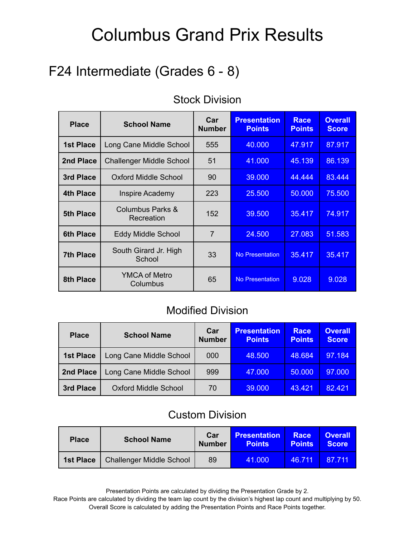## F24 Intermediate (Grades 6 - 8)

| <b>Place</b>     | <b>School Name</b>                        | Car<br><b>Number</b> | <b>Presentation</b><br><b>Points</b> | <b>Race</b><br><b>Points</b> | <b>Overall</b><br><b>Score</b> |
|------------------|-------------------------------------------|----------------------|--------------------------------------|------------------------------|--------------------------------|
| <b>1st Place</b> | Long Cane Middle School                   | 555                  | 40,000                               | 47.917                       | 87.917                         |
| 2nd Place        | <b>Challenger Middle School</b>           | 51                   | 41.000                               | 45.139                       | 86.139                         |
| 3rd Place        | Oxford Middle School                      | 90                   | 39.000                               | 44.444                       | 83.444                         |
| <b>4th Place</b> | <b>Inspire Academy</b>                    | 223                  | 25.500                               | 50,000                       | 75.500                         |
| <b>5th Place</b> | <b>Columbus Parks &amp;</b><br>Recreation | 152                  | 39.500                               | 35.417                       | 74.917                         |
| <b>6th Place</b> | <b>Eddy Middle School</b>                 | $\overline{7}$       | 24.500                               | 27.083                       | 51.583                         |
| <b>7th Place</b> | South Girard Jr. High<br>School           | 33                   | <b>No Presentation</b>               | 35.417                       | 35.417                         |
| 8th Place        | <b>YMCA of Metro</b><br>Columbus          | 65                   | <b>No Presentation</b>               | 9.028                        | 9.028                          |

#### Stock Division

#### Modified Division

| <b>Place</b>     | <b>School Name</b>          | Car<br><b>Number</b> | <b>Presentation</b><br><b>Points</b> | <b>Race</b><br><b>Points</b> | <b>Overall</b><br><b>Score</b> |
|------------------|-----------------------------|----------------------|--------------------------------------|------------------------------|--------------------------------|
| <b>1st Place</b> | Long Cane Middle School     | 000                  | 48.500                               | 48.684                       | 97.184                         |
| 2nd Place        | Long Cane Middle School     | 999                  | 47.000                               | 50.000                       | 97.000                         |
| 3rd Place        | <b>Oxford Middle School</b> | 70                   | 39.000                               | 43.421                       | 82.421                         |

#### Custom Division

| <b>Place</b>     | <b>School Name</b>              | Car<br><b>Number</b> | <b>Presentation</b><br><b>Points</b> | Race<br><b>Points</b> | <b>Overall</b><br><b>Score</b> |
|------------------|---------------------------------|----------------------|--------------------------------------|-----------------------|--------------------------------|
| <b>1st Place</b> | <b>Challenger Middle School</b> | 89                   | 41.000                               | 46.711                | 87 711                         |

Presentation Points are calculated by dividing the Presentation Grade by 2.

Race Points are calculated by dividing the team lap count by the division's highest lap count and multiplying by 50. Overall Score is calculated by adding the Presentation Points and Race Points together.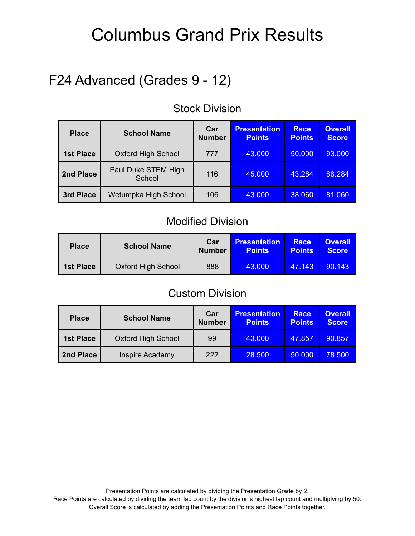## F24 Advanced (Grades 9 - 12)

| <b>Place</b>     | <b>School Name</b>            | Car<br><b>Number</b> | <b>Presentation</b><br><b>Points</b> | <b>Race</b><br><b>Points</b> | <b>Overall</b><br><b>Score</b> |
|------------------|-------------------------------|----------------------|--------------------------------------|------------------------------|--------------------------------|
| <b>1st Place</b> | <b>Oxford High School</b>     | 777                  | 43.000                               | 50.000                       | 93.000                         |
| 2nd Place        | Paul Duke STEM High<br>School | 116                  | 45.000                               | 43.284                       | 88.284                         |
| 3rd Place        | Wetumpka High School          | 106                  | 43.000                               | 38.060                       | 81.060                         |

#### Stock Division

#### Modified Division

| <b>Place</b>     | <b>School Name</b>        | Car<br><b>Number</b> | <b>Presentation</b><br><b>Points</b> | <b>Race</b><br><b>Points</b> | <b>Overall</b><br><b>Score</b> |
|------------------|---------------------------|----------------------|--------------------------------------|------------------------------|--------------------------------|
| <b>1st Place</b> | <b>Oxford High School</b> | 888                  | 43.000                               | 47.143                       | 90.143                         |

#### Custom Division

| <b>Place</b>     | <b>School Name</b>        | Car<br><b>Number</b> | <b>Presentation</b><br><b>Points</b> | <b>Race</b><br><b>Points</b> | <b>Overall</b><br><b>Score</b> |
|------------------|---------------------------|----------------------|--------------------------------------|------------------------------|--------------------------------|
| <b>1st Place</b> | <b>Oxford High School</b> | 99                   | 43.000                               | 47.857                       | 90.857                         |
| 2nd Place        | <b>Inspire Academy</b>    | 222                  | 28.500                               | 50,000                       | 78.500                         |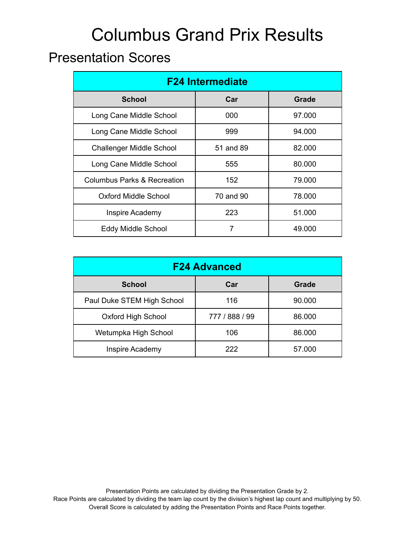### Presentation Scores

| <b>F24 Intermediate</b>                |           |              |  |  |  |
|----------------------------------------|-----------|--------------|--|--|--|
| <b>School</b>                          | Car       | <b>Grade</b> |  |  |  |
| Long Cane Middle School                | 000       | 97.000       |  |  |  |
| Long Cane Middle School                | 999       | 94.000       |  |  |  |
| <b>Challenger Middle School</b>        | 51 and 89 | 82,000       |  |  |  |
| Long Cane Middle School                | 555       | 80.000       |  |  |  |
| <b>Columbus Parks &amp; Recreation</b> | 152       | 79.000       |  |  |  |
| <b>Oxford Middle School</b>            | 70 and 90 | 78.000       |  |  |  |
| Inspire Academy                        | 223       | 51.000       |  |  |  |
| <b>Eddy Middle School</b>              | 7         | 49.000       |  |  |  |

| <b>F24 Advanced</b>                  |                |        |  |  |  |  |
|--------------------------------------|----------------|--------|--|--|--|--|
| <b>School</b><br>Car<br><b>Grade</b> |                |        |  |  |  |  |
| Paul Duke STEM High School           | 116            | 90.000 |  |  |  |  |
| <b>Oxford High School</b>            | 777 / 888 / 99 | 86.000 |  |  |  |  |
| Wetumpka High School                 | 106            | 86.000 |  |  |  |  |
| Inspire Academy                      | 222            | 57.000 |  |  |  |  |

Presentation Points are calculated by dividing the Presentation Grade by 2. Race Points are calculated by dividing the team lap count by the division's highest lap count and multiplying by 50. Overall Score is calculated by adding the Presentation Points and Race Points together.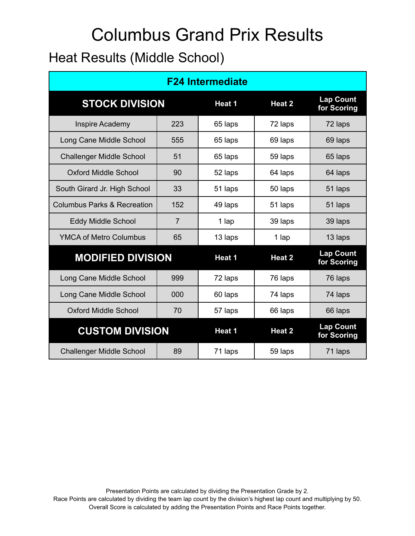# Columbus Grand Prix Results Heat Results (Middle School)

| <b>F24 Intermediate</b>                |     |               |               |                                 |  |  |  |
|----------------------------------------|-----|---------------|---------------|---------------------------------|--|--|--|
| <b>STOCK DIVISION</b>                  |     | Heat 1        | Heat 2        | <b>Lap Count</b><br>for Scoring |  |  |  |
| Inspire Academy                        | 223 | 65 laps       | 72 laps       | 72 laps                         |  |  |  |
| Long Cane Middle School                | 555 | 65 laps       | 69 laps       | 69 laps                         |  |  |  |
| <b>Challenger Middle School</b>        | 51  | 65 laps       | 59 laps       | 65 laps                         |  |  |  |
| <b>Oxford Middle School</b>            | 90  | 52 laps       | 64 laps       | 64 laps                         |  |  |  |
| South Girard Jr. High School           | 33  | 51 laps       | 50 laps       | 51 laps                         |  |  |  |
| <b>Columbus Parks &amp; Recreation</b> | 152 | 49 laps       | 51 laps       | 51 laps                         |  |  |  |
| <b>Eddy Middle School</b>              | 7   | 1 lap         | 39 laps       | 39 laps                         |  |  |  |
| <b>YMCA of Metro Columbus</b>          | 65  | 13 laps       | 1 lap         | 13 laps                         |  |  |  |
| <b>MODIFIED DIVISION</b>               |     | <b>Heat 1</b> | <b>Heat 2</b> | <b>Lap Count</b><br>for Scoring |  |  |  |
| Long Cane Middle School                | 999 | 72 laps       | 76 laps       | 76 laps                         |  |  |  |
| Long Cane Middle School                | 000 | 60 laps       | 74 laps       | 74 laps                         |  |  |  |
| <b>Oxford Middle School</b>            | 70  | 57 laps       | 66 laps       | 66 laps                         |  |  |  |
| <b>CUSTOM DIVISION</b>                 |     | <b>Heat 1</b> | Heat 2        | <b>Lap Count</b><br>for Scoring |  |  |  |
| <b>Challenger Middle School</b>        | 89  | 71 laps       | 59 laps       | 71 laps                         |  |  |  |